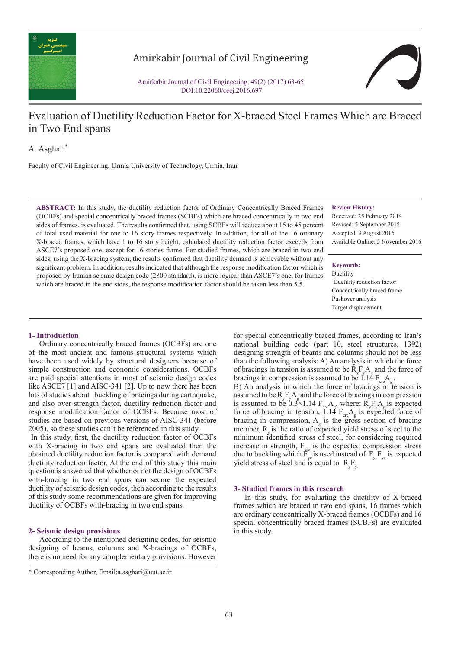

# Amirkabir Journal of Civil Engineering

Amirkabir Journal of Civil Engineering, 49(2) (2017) 63-65 DOI:10.22060/ceej.2016.697

# Evaluation of Ductility Reduction Factor for X-braced Steel Frames Which are Braced in Two End spans

A. Asghari\*

Faculty of Civil Engineering, Urmia University of Technology, Urmia, Iran

**ABSTRACT:** In this study, the ductility reduction factor of Ordinary Concentrically Braced Frames (OCBFs) and special concentrically braced frames (SCBFs) which are braced concentrically in two end sides of frames, is evaluated. The results confirmed that, using SCBFs will reduce about 15 to 45 percent of total used material for one to 16 story frames respectively. In addition, for all of the 16 ordinary X-braced frames, which have 1 to 16 story height, calculated ductility reduction factor exceeds from ASCE7's proposed one, except for 16 stories frame. For studied frames, which are braced in two end sides, using the X-bracing system, the results confirmed that ductility demand is achievable without any significant problem. In addition, results indicated that although the response modification factor which is proposed by Iranian seismic design code (2800 standard), is more logical than ASCE7's one, for frames which are braced in the end sides, the response modification factor should be taken less than 5.5.

#### **Review History:**

Received: 25 February 2014 Revised: 5 September 2015 Accepted: 9 August 2016 Available Online: 5 November 2016

#### **Keywords:**

Ductility Ductility reduction factor Concentrically braced frame Pushover analysis Target displacement

## **1- Introduction**

Ordinary concentrically braced frames (OCBFs) are one of the most ancient and famous structural systems which have been used widely by structural designers because of simple construction and economic considerations. OCBFs are paid special attentions in most of seismic design codes like ASCE7 [1] and AISC-341 [2]. Up to now there has been lots of studies about buckling of bracings during earthquake, and also over strength factor, ductility reduction factor and response modification factor of OCBFs. Because most of studies are based on previous versions of AISC-341 (before 2005), so these studies can't be referenced in this study.

 In this study, first, the ductility reduction factor of OCBFs with X-bracing in two end spans are evaluated then the obtained ductility reduction factor is compared with demand ductility reduction factor. At the end of this study this main question is answered that whether or not the design of OCBFs with-bracing in two end spans can secure the expected ductility of seismic design codes, then according to the results of this study some recommendations are given for improving ductility of OCBFs with-bracing in two end spans.

## **2- Seismic design provisions**

According to the mentioned designing codes, for seismic designing of beams, columns and X-bracings of OCBFs, there is no need for any complementary provisions. However

for special concentrically braced frames, according to Iran's national building code (part 10, steel structures, 1392) designing strength of beams and columns should not be less than the following analysis: A) An analysis in which the force of bracings in tension is assumed to be  $R_yF_A A$  and the force of bracings in compression is assumed to be  $1.14 F_{cr}A_{g}$ .

B) An analysis in which the force of bracings in tension is assumed to be  $R_y F_y A_g$  and the force of bracings in compression is assumed to be  $0.3 \times 1.14$  F<sub>cre</sub>A<sub>g</sub>, where: R<sub>y</sub>F<sub>y</sub>A<sub>g</sub> is expected force of bracing in tension, 1.14  $F_{\text{cre}}A_{\text{g}}$  is expected force of bracing in compression,  $A_{g}$  is the gross section of bracing member,  $R_{y}$  is the ratio of expected yield stress of steel to the minimum identified stress of steel, for considering required increase in strength,  $F_{\text{cre}}$  is the expected compression stress due to buckling which  $\overline{F}_{ye}$  is used instead of  $F_{y, F_{ye}}$  is expected yield stress of steel and is equal to  $R_yF_y$ .

#### **3- Studied frames in this research**

In this study, for evaluating the ductility of X-braced frames which are braced in two end spans, 16 frames which are ordinary concentrically X-braced frames (OCBFs) and 16 special concentrically braced frames (SCBFs) are evaluated in this study.

<sup>\*</sup> Corresponding Author, Email:a.asghari@uut.ac.ir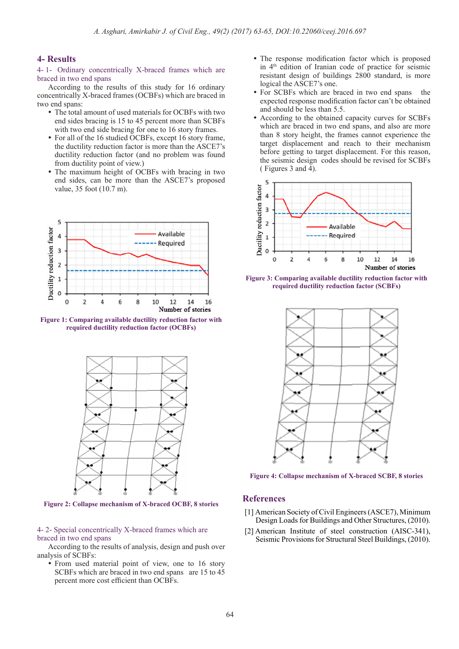# **4- Results**

4- 1- Ordinary concentrically X-braced frames which are braced in two end spans

According to the results of this study for 16 ordinary concentrically X-braced frames (OCBFs) which are braced in two end spans:

- The total amount of used materials for OCBFs with two end sides bracing is 15 to 45 percent more than SCBFs with two end side bracing for one to 16 story frames.
- For all of the 16 studied OCBFs, except 16 story frame, the ductility reduction factor is more than the ASCE7's ductility reduction factor (and no problem was found from ductility point of view.)
- The maximum height of OCBFs with bracing in two end sides, can be more than the ASCE7's proposed value, 35 foot (10.7 m).



**Figure 1: Comparing available ductility reduction factor with required ductility reduction factor (OCBFs)**



**Figure 2: Collapse mechanism of X-braced OCBF, 8 stories**

4- 2- Special concentrically X-braced frames which are braced in two end spans

According to the results of analysis, design and push over analysis of SCBFs:

• From used material point of view, one to 16 story SCBFs which are braced in two end spans are 15 to 45 percent more cost efficient than OCBFs.

- The response modification factor which is proposed in  $4<sup>th</sup>$  edition of Iranian code of practice for seismic resistant design of buildings 2800 standard, is more logical the ASCE7's one.
- For SCBFs which are braced in two end spans the expected response modification factor can't be obtained and should be less than 5.5.
- According to the obtained capacity curves for SCBFs which are braced in two end spans, and also are more than 8 story height, the frames cannot experience the target displacement and reach to their mechanism before getting to target displacement. For this reason, the seismic design codes should be revised for SCBFs ( Figures 3 and 4).



**Figure 3: Comparing available ductility reduction factor with required ductility reduction factor (SCBFs)**



**Figure 4: Collapse mechanism of X-braced SCBF, 8 stories**

## **References**

- [1] American Society of Civil Engineers (ASCE7), Minimum Design Loads for Buildings and Other Structures, (2010).
- [2] American Institute of steel construction (AISC-341), Seismic Provisions for Structural Steel Buildings, (2010).